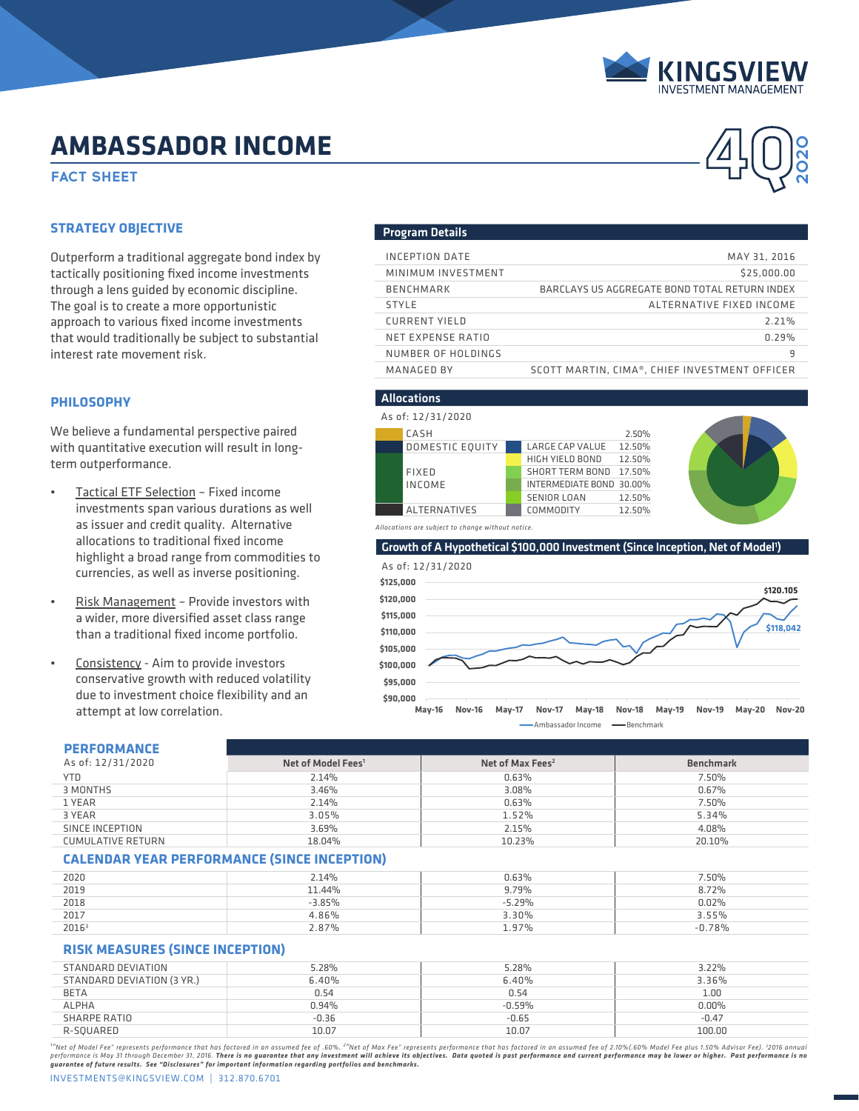

**2020**

# **AMBASSADOR INCOME**<br>FACT SHEET **AMBASSADOR INCOME**

### **STRATEGY OBJECTIVE**

Outperform a traditional aggregate bond index by tactically positioning fixed income investments through a lens guided by economic discipline. The goal is to create a more opportunistic approach to various fixed income investments that would traditionally be subject to substantial interest rate movement risk.

### **PHILOSOPHY**

We believe a fundamental perspective paired with quantitative execution will result in longterm outperformance.

- Tactical ETF Selection Fixed income investments span various durations as well as issuer and credit quality. Alternative allocations to traditional fixed income highlight a broad range from commodities to currencies, as well as inverse positioning.
- Risk Management Provide investors with a wider, more diversified asset class range than a traditional fixed income portfolio.
- Consistency Aim to provide investors conservative growth with reduced volatility due to investment choice flexibility and an attempt at low correlation.

#### Program Details

| INCEPTION DATE       | MAY 31, 2016                                  |
|----------------------|-----------------------------------------------|
| MINIMUM INVESTMENT   | \$25,000,00                                   |
| <b>BENCHMARK</b>     | BARCLAYS US AGGREGATE BOND TOTAL RETURN INDEX |
| <b>STYLE</b>         | ALTERNATIVE FIXED INCOME                      |
| <b>CURRENT YIELD</b> | 2.21%                                         |
| NET EXPENSE RATIO    | 0.29%                                         |
| NUMBER OF HOLDINGS   | 9                                             |
| MANAGED BY           | SCOTT MARTIN, CIMA®, CHIEF INVESTMENT OFFICER |





Ambassador Income - Benchmark

## **PERFORMANCE**

| As of: 12/31/2020        | Net of Model Fees <sup>1</sup> | Net of Max Fees $2$ | <b>Benchmark</b> |
|--------------------------|--------------------------------|---------------------|------------------|
| YTD.                     | 2.14%                          | 0.63%               | 7.50%            |
| 3 MONTHS                 | 3.46%                          | 3.08%               | 0.67%            |
| 1 YEAR                   | 2.14%                          | 0.63%               | 7.50%            |
| 3 YEAR                   | 3.05%                          | 1.52%               | 5.34%            |
| SINCE INCEPTION          | 3.69%                          | 2.15%               | 4.08%            |
| <b>CUMULATIVE RETURN</b> | 18.04%                         | 10.23%              | 20.10%           |

### **CALENDAR YEAR PERFORMANCE (SINCE INCEPTION)**

| 2020              | 2.14%    | 0.63%    | 7.50%    |
|-------------------|----------|----------|----------|
| 2019              | 11.44%   | 9.79%    | 8.72%    |
| 2018              | $-3.85%$ | $-5.29%$ | 0.02%    |
| 2017              | 4.86%    | 3.30%    | 3.55%    |
| 2016 <sup>3</sup> | 2.87%    | 1.97%    | $-0.78%$ |

## **RISK MEASURES (SINCE INCEPTION)**

| STANDARD DEVIATION         | 5.28%   | 5.28%     | 3.22%    |
|----------------------------|---------|-----------|----------|
| STANDARD DEVIATION (3 YR.) | 6.40%   | 6.40%     | 3.36%    |
| <b>BETA</b>                | 0.54    | 0.54      | 1.00     |
| <b>ALPHA</b>               | 0.94%   | $-0.59\%$ | $0.00\%$ |
| SHARPE RATIO               | $-0.36$ | $-0.65$   | $-0.47$  |
| R-SQUARED                  | 10.07   | 10.07     | 100.00   |
|                            |         |           |          |

""Net of Model Fee" represents performance that has factored in an assumed fee of .60%. <sup>2</sup>"Net of Max Fee" represents performance that has factored in an assumed fee of 2.10%(.60% Model Fee plus 1.50% Advisor Fee). <sup>3</sup>201

INVESTMENTS@KINGSVIEW.COM | 312.870.6701